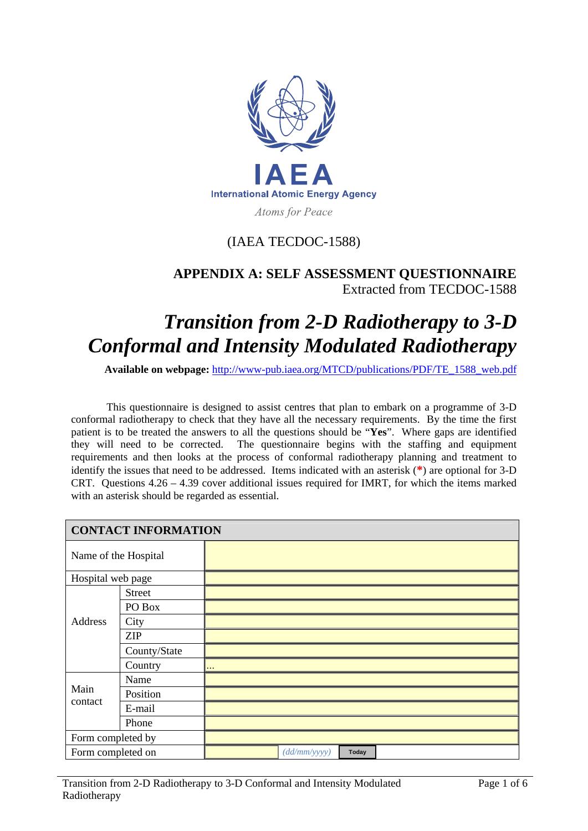

## (IAEA TECDOC-1588)

## **APPENDIX A: SELF ASSESSMENT QUESTIONNAIRE**  Extracted from TECDOC-1588

## *Transition from 2-D Radiotherapy to 3-D Conformal and Intensity Modulated Radiotherapy*

**Available on webpage:** http://www-pub.iaea.org/MTCD/publications/PDF/TE\_1588\_web.pdf

This questionnaire is designed to assist centres that plan to embark on a programme of 3-D conformal radiotherapy to check that they have all the necessary requirements. By the time the first patient is to be treated the answers to all the questions should be "**Yes**". Where gaps are identified they will need to be corrected. The questionnaire begins with the staffing and equipment requirements and then looks at the process of conformal radiotherapy planning and treatment to identify the issues that need to be addressed. Items indicated with an asterisk (**\***) are optional for 3-D CRT. Questions 4.26 – 4.39 cover additional issues required for IMRT, for which the items marked with an asterisk should be regarded as essential.

| <b>CONTACT INFORMATION</b> |               |            |              |       |  |
|----------------------------|---------------|------------|--------------|-------|--|
| Name of the Hospital       |               |            |              |       |  |
| Hospital web page          |               |            |              |       |  |
| Address                    | <b>Street</b> |            |              |       |  |
|                            | PO Box        |            |              |       |  |
|                            | City          |            |              |       |  |
|                            | <b>ZIP</b>    |            |              |       |  |
|                            | County/State  |            |              |       |  |
|                            | Country       | $\sim 100$ |              |       |  |
|                            | Name          |            |              |       |  |
| Main<br>contact            | Position      |            |              |       |  |
|                            | E-mail        |            |              |       |  |
|                            | Phone         |            |              |       |  |
| Form completed by          |               |            |              |       |  |
| Form completed on          |               |            | (dd/mm/yyyy) | Today |  |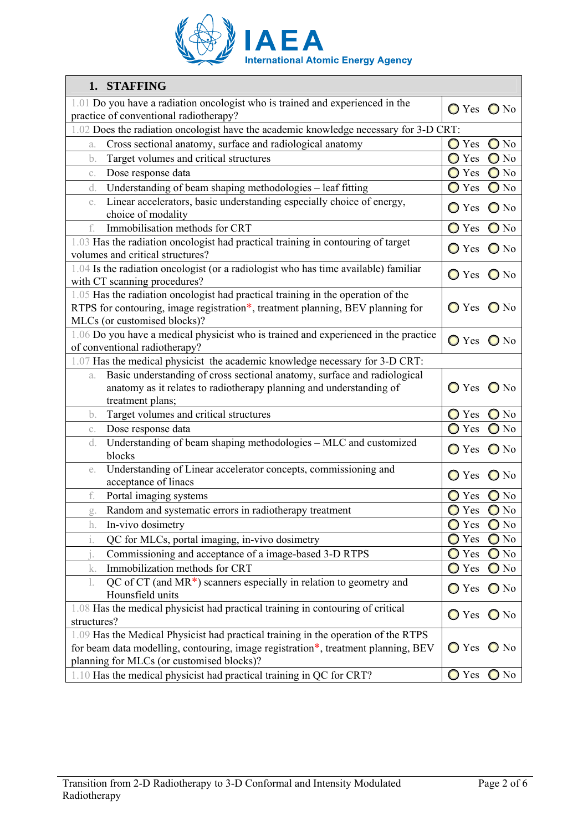

| 1. STAFFING                                                                                                          |                   |                |  |
|----------------------------------------------------------------------------------------------------------------------|-------------------|----------------|--|
| 1.01 Do you have a radiation oncologist who is trained and experienced in the                                        | $O$ Yes $O$ No    |                |  |
| practice of conventional radiotherapy?                                                                               |                   |                |  |
| .02 Does the radiation oncologist have the academic knowledge necessary for 3-D CRT:                                 |                   |                |  |
| Cross sectional anatomy, surface and radiological anatomy<br>a.                                                      | Yes<br>$\bigcirc$ | $\bigcirc$ No  |  |
| Target volumes and critical structures<br>b.                                                                         | ◯ Yes             | $\bigcirc$ No  |  |
| Dose response data<br>C.                                                                                             | $\bigcirc$ Yes    | $\bigcirc$ No  |  |
| Understanding of beam shaping methodologies – leaf fitting<br>d.                                                     | Yes               | $\bigcirc$ No  |  |
| Linear accelerators, basic understanding especially choice of energy,<br>e.                                          | $\bigcirc$ Yes    | $\bigcirc$ No  |  |
| choice of modality                                                                                                   |                   |                |  |
| Immobilisation methods for CRT<br>f.                                                                                 | Yes               | $\bigcirc$ No  |  |
| 1.03 Has the radiation oncologist had practical training in contouring of target<br>volumes and critical structures? | ◯ Yes             | $\bigcirc$ No  |  |
| 1.04 Is the radiation oncologist (or a radiologist who has time available) familiar<br>with CT scanning procedures?  | $\bigcirc$ Yes    | $\bigcirc$ No  |  |
| 1.05 Has the radiation oncologist had practical training in the operation of the                                     |                   |                |  |
| RTPS for contouring, image registration*, treatment planning, BEV planning for<br>MLCs (or customised blocks)?       | ◯ Yes             | $\bigcirc$ No  |  |
| 1.06 Do you have a medical physicist who is trained and experienced in the practice<br>of conventional radiotherapy? | $\bigcirc$ Yes    | $\bigcirc$ No  |  |
| 1.07 Has the medical physicist the academic knowledge necessary for 3-D CRT:                                         |                   |                |  |
| Basic understanding of cross sectional anatomy, surface and radiological<br>a.                                       |                   |                |  |
| anatomy as it relates to radiotherapy planning and understanding of<br>treatment plans;                              | $\bigcirc$ Yes    | $\bigcirc$ No  |  |
| Target volumes and critical structures<br>b.                                                                         | $\bigcirc$ Yes    | $\bigcirc$ No  |  |
| Dose response data<br>C.                                                                                             | Yes               | $\bigcirc$ No  |  |
| Understanding of beam shaping methodologies - MLC and customized<br>d.<br>blocks                                     | $\bigcirc$ Yes    | $\bigcirc$ No  |  |
| Understanding of Linear accelerator concepts, commissioning and<br>e.                                                | Yes               | $\bigcirc$ No  |  |
| acceptance of linacs                                                                                                 |                   |                |  |
| Portal imaging systems<br>f.                                                                                         | Yes               | $\bigcirc$ No  |  |
| Random and systematic errors in radiotherapy treatment<br>g.                                                         | Yes               | $\bigcirc$ No  |  |
| In-vivo dosimetry<br>h.                                                                                              | ◯ Yes             | $\bigcirc$ No  |  |
| i.<br>QC for MLCs, portal imaging, in-vivo dosimetry                                                                 | Yes<br>$\bigcirc$ | N <sub>0</sub> |  |
| Commissioning and acceptance of a image-based 3-D RTPS                                                               | Yes<br>$\bigcirc$ | N <sub>0</sub> |  |
| Immobilization methods for CRT<br>k.                                                                                 | Yes<br>$\cup$     | $\bigcirc$ No  |  |
| QC of CT (and $MR^*$ ) scanners especially in relation to geometry and<br>Hounsfield units                           | $\bigcirc$ Yes    | $\bigcirc$ No  |  |
| 1.08 Has the medical physicist had practical training in contouring of critical<br>structures?                       | ◯ Yes             | $\bigcirc$ No  |  |
| 1.09 Has the Medical Physicist had practical training in the operation of the RTPS                                   |                   |                |  |
| for beam data modelling, contouring, image registration*, treatment planning, BEV                                    | $\bigcirc$ Yes    | $\bigcirc$ No  |  |
| planning for MLCs (or customised blocks)?                                                                            |                   |                |  |
| 1.10 Has the medical physicist had practical training in QC for CRT?                                                 | $\bigcirc$ Yes    | $\bigcirc$ No  |  |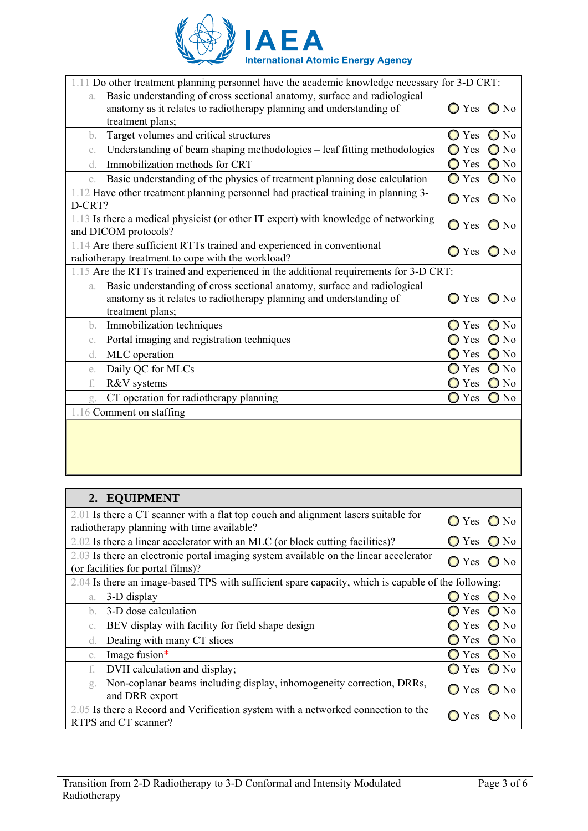

| for 3-D CRT:<br>Do other treatment planning personnel have the academic knowledge necessary                                                                               |                                 |  |  |
|---------------------------------------------------------------------------------------------------------------------------------------------------------------------------|---------------------------------|--|--|
| Basic understanding of cross sectional anatomy, surface and radiological<br>a.                                                                                            |                                 |  |  |
| anatomy as it relates to radiotherapy planning and understanding of                                                                                                       | $\bigcirc$ No<br>Yes            |  |  |
| treatment plans;                                                                                                                                                          |                                 |  |  |
| Target volumes and critical structures<br>b.                                                                                                                              | Yes<br>$\bigcirc$ No<br>O       |  |  |
| Understanding of beam shaping methodologies – leaf fitting methodologies<br>C.                                                                                            | $\log$<br>$\bigcirc$<br>Yes     |  |  |
| Immobilization methods for CRT<br>d.                                                                                                                                      | Yes<br>$\log$<br>O              |  |  |
| Basic understanding of the physics of treatment planning dose calculation<br>e.                                                                                           | $\bigcirc$<br>Yes<br>$\Box$ No  |  |  |
| 1.12 Have other treatment planning personnel had practical training in planning 3-<br>D-CRT?                                                                              | $\bigcirc$ Yes<br>$\bigcirc$ No |  |  |
| 1.13 Is there a medical physicist (or other IT expert) with knowledge of networking<br>and DICOM protocols?                                                               | Yes<br>$\bigcirc$ No            |  |  |
| 1.14 Are there sufficient RTTs trained and experienced in conventional<br>radiotherapy treatment to cope with the workload?                                               | Yes<br>$\mathbf{a}$<br>O        |  |  |
| 1.15 Are the RTTs trained and experienced in the additional requirements for 3-D CRT:                                                                                     |                                 |  |  |
| Basic understanding of cross sectional anatomy, surface and radiological<br>a.<br>anatomy as it relates to radiotherapy planning and understanding of<br>treatment plans; | Yes<br>N <sub>0</sub>           |  |  |
| Immobilization techniques<br>b.                                                                                                                                           | $\Box$ No<br>Yes<br>O           |  |  |
| Portal imaging and registration techniques<br>C.                                                                                                                          | N <sub>0</sub><br>Yes           |  |  |
| MLC operation<br>d.                                                                                                                                                       | Yes<br>N <sub>0</sub>           |  |  |
| Daily QC for MLCs<br>e.                                                                                                                                                   | $\log$<br>Yes                   |  |  |
| R&V systems<br>f.                                                                                                                                                         | $\Box$ No<br>Yes<br>O           |  |  |
| CT operation for radiotherapy planning<br>g.                                                                                                                              | $\mathcal{D}$ No<br>Yes         |  |  |
| 1.16 Comment on staffing                                                                                                                                                  |                                 |  |  |
|                                                                                                                                                                           |                                 |  |  |

## **2. EQUIPMENT** 2.01 Is there a CT scanner with a flat top couch and alignment lasers suitable for 2.01 is there a C<sub>1</sub> scanner with a nat top couch and angument lasers suitable for  $\bigcirc$  Yes  $\bigcirc$  No radiotherapy planning with time available? 2.02 Is there a linear accelerator with an MLC (or block cutting facilities)?  $\bigcirc$  Yes  $\bigcirc$  No 2.03 Is there an electronic portal imaging system available on the linear accelerator 2.03 is there an electronic portal maging system available on the linear accelerator  $\sigma$  Yes  $\sigma$  No (or facilities for portal films)? 2.04 Is there an image-based TPS with sufficient spare capacity, which is capable of the following: a. 3-D display  $\bigcirc$  Yes  $\bigcirc$  No b. 3-D dose calculation  $\bigcirc$  Yes  $\bigcirc$  No c. BEV display with facility for field shape design  $\bigcirc$  Yes  $\bigcirc$  No d. Dealing with many CT slices  $\bigcirc$  No e. Image fusion\*  $\bigcirc$  Yes  $\bigcirc$  No f. DVH calculation and display;  $\overline{O}$  Yes  $\overline{O}$  No g. Non-coplanar beams including display, inhomogeneity correction, DRRs,  $\bigcirc$  Yes  $\bigcirc$  No and DRR export 2.05 Is there a Record and Verification system with a networked connection to the  $\bigcap$  Yes  $\bigcap$  No RTPS and CT scanner?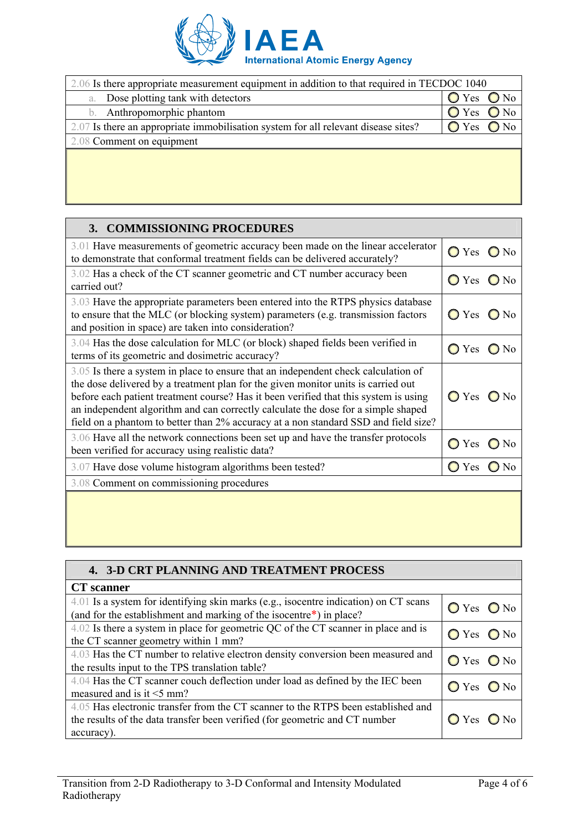

| 2.06 Is there appropriate measurement equipment in addition to that required in TECDOC 1040 |     |                  |  |
|---------------------------------------------------------------------------------------------|-----|------------------|--|
| Dose plotting tank with detectors<br>a.                                                     | Yes | $\sum_{i=1}^{n}$ |  |
| Anthropomorphic phantom                                                                     | Yes | N <sub>0</sub>   |  |
| 2.07 Is there an appropriate immobilisation system for all relevant disease sites?          | Yes | N <sub>o</sub>   |  |
| 2.08 Comment on equipment                                                                   |     |                  |  |
|                                                                                             |     |                  |  |
|                                                                                             |     |                  |  |
|                                                                                             |     |                  |  |

| 3. COMMISSIONING PROCEDURES                                                                                                                                                                                                                                                                                                                                                                                                                 |                          |  |  |
|---------------------------------------------------------------------------------------------------------------------------------------------------------------------------------------------------------------------------------------------------------------------------------------------------------------------------------------------------------------------------------------------------------------------------------------------|--------------------------|--|--|
| 3.01 Have measurements of geometric accuracy been made on the linear accelerator                                                                                                                                                                                                                                                                                                                                                            | $\bigcirc$ Yes           |  |  |
| to demonstrate that conformal treatment fields can be delivered accurately?                                                                                                                                                                                                                                                                                                                                                                 | $\bigcirc$ No            |  |  |
| 3.02 Has a check of the CT scanner geometric and CT number accuracy been                                                                                                                                                                                                                                                                                                                                                                    | $\bigcirc$ Yes           |  |  |
| carried out?                                                                                                                                                                                                                                                                                                                                                                                                                                | $\bigcirc$ No            |  |  |
| 3.03 Have the appropriate parameters been entered into the RTPS physics database                                                                                                                                                                                                                                                                                                                                                            | $\bigcirc$ No            |  |  |
| to ensure that the MLC (or blocking system) parameters (e.g. transmission factors                                                                                                                                                                                                                                                                                                                                                           | Yes                      |  |  |
| and position in space) are taken into consideration?                                                                                                                                                                                                                                                                                                                                                                                        | $\bigcirc$               |  |  |
| 3.04 Has the dose calculation for MLC (or block) shaped fields been verified in                                                                                                                                                                                                                                                                                                                                                             | $\bigcirc$ Yes           |  |  |
| terms of its geometric and dosimetric accuracy?                                                                                                                                                                                                                                                                                                                                                                                             | $\bigcirc$ No            |  |  |
| 3.05 Is there a system in place to ensure that an independent check calculation of<br>the dose delivered by a treatment plan for the given monitor units is carried out<br>before each patient treatment course? Has it been verified that this system is using<br>an independent algorithm and can correctly calculate the dose for a simple shaped<br>field on a phantom to better than 2% accuracy at a non standard SSD and field size? | $O$ Yes $O$ No           |  |  |
| 3.06 Have all the network connections been set up and have the transfer protocols                                                                                                                                                                                                                                                                                                                                                           | Yes                      |  |  |
| been verified for accuracy using realistic data?                                                                                                                                                                                                                                                                                                                                                                                            | N <sub>0</sub>           |  |  |
| 3.07 Have dose volume histogram algorithms been tested?                                                                                                                                                                                                                                                                                                                                                                                     | $\bigcirc$<br><b>Yes</b> |  |  |
| 3.08 Comment on commissioning procedures                                                                                                                                                                                                                                                                                                                                                                                                    |                          |  |  |
|                                                                                                                                                                                                                                                                                                                                                                                                                                             |                          |  |  |

| <b>4. 3-D CRT PLANNING AND TREATMENT PROCESS</b>                                                                                                                               |                |  |  |
|--------------------------------------------------------------------------------------------------------------------------------------------------------------------------------|----------------|--|--|
| <b>CT</b> scanner                                                                                                                                                              |                |  |  |
| 4.01 Is a system for identifying skin marks (e.g., isocentre indication) on CT scans<br>(and for the establishment and marking of the isocentre*) in place?                    | $O$ Yes $O$ No |  |  |
| 4.02 Is there a system in place for geometric QC of the CT scanner in place and is<br>the CT scanner geometry within 1 mm?                                                     | $O$ Yes $O$ No |  |  |
| 4.03 Has the CT number to relative electron density conversion been measured and<br>the results input to the TPS translation table?                                            | $O$ Yes $O$ No |  |  |
| 4.04 Has the CT scanner couch deflection under load as defined by the IEC been<br>measured and is it $\leq$ mm?                                                                | $O$ Yes $O$ No |  |  |
| 4.05 Has electronic transfer from the CT scanner to the RTPS been established and<br>the results of the data transfer been verified (for geometric and CT number<br>accuracy). | Yes            |  |  |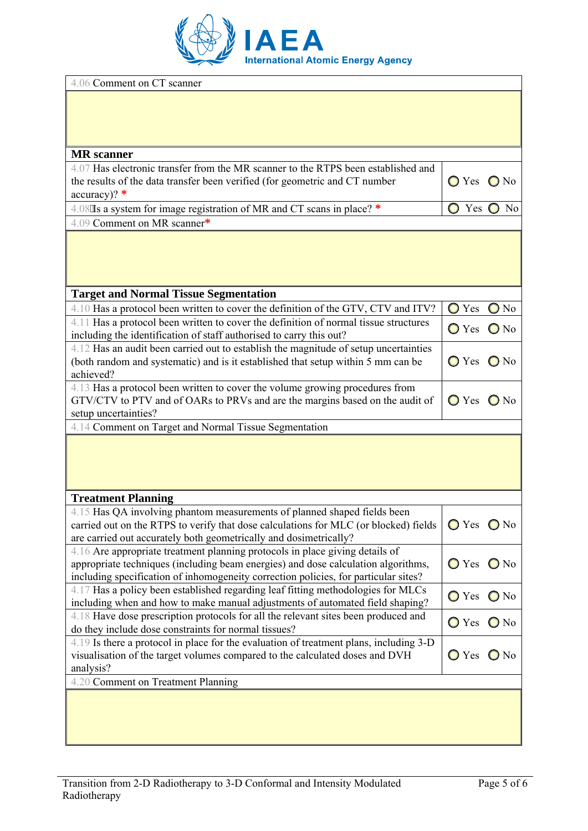

| 4.06 Comment on CT scanner                                                                                                                                              |                              |                   |  |
|-------------------------------------------------------------------------------------------------------------------------------------------------------------------------|------------------------------|-------------------|--|
|                                                                                                                                                                         |                              |                   |  |
|                                                                                                                                                                         |                              |                   |  |
| <b>MR</b> scanner                                                                                                                                                       |                              |                   |  |
| 4.07 Has electronic transfer from the MR scanner to the RTPS been established and<br>the results of the data transfer been verified (for geometric and CT number        | $O$ Yes $O$ No               |                   |  |
| accuracy)? $*$                                                                                                                                                          |                              |                   |  |
| 4.08'Is a system for image registration of MR and CT scans in place? *                                                                                                  | $\bigcirc$                   | Yes $\bigcirc$ No |  |
| 4.09 Comment on MR scanner*                                                                                                                                             |                              |                   |  |
|                                                                                                                                                                         |                              |                   |  |
|                                                                                                                                                                         |                              |                   |  |
| <b>Target and Normal Tissue Segmentation</b>                                                                                                                            |                              |                   |  |
| 4.10 Has a protocol been written to cover the definition of the GTV, CTV and ITV?                                                                                       | $\bigcirc$ Yes               | $\bigcirc$ No     |  |
| 4.11 Has a protocol been written to cover the definition of normal tissue structures<br>including the identification of staff authorised to carry this out?             | $\bigcirc$ Yes               | $\bigcirc$ No     |  |
| 4.12 Has an audit been carried out to establish the magnitude of setup uncertainties                                                                                    |                              |                   |  |
| (both random and systematic) and is it established that setup within 5 mm can be<br>achieved?                                                                           | $O$ Yes $O$ No               |                   |  |
| 4.13 Has a protocol been written to cover the volume growing procedures from                                                                                            |                              |                   |  |
| GTV/CTV to PTV and of OARs to PRVs and are the margins based on the audit of<br>setup uncertainties?                                                                    | $O$ Yes $O$ No               |                   |  |
| 4.14 Comment on Target and Normal Tissue Segmentation                                                                                                                   |                              |                   |  |
|                                                                                                                                                                         |                              |                   |  |
|                                                                                                                                                                         |                              |                   |  |
|                                                                                                                                                                         |                              |                   |  |
|                                                                                                                                                                         |                              |                   |  |
| <b>Treatment Planning</b>                                                                                                                                               |                              |                   |  |
| 4.15 Has QA involving phantom measurements of planned shaped fields been                                                                                                |                              |                   |  |
| carried out on the RTPS to verify that dose calculations for MLC (or blocked) fields<br>are carried out accurately both geometrically and dosimetrically?               | $\bigcirc$ Yes $\bigcirc$ No |                   |  |
| 4.16 Are appropriate treatment planning protocols in place giving details of                                                                                            |                              |                   |  |
| appropriate techniques (including beam energies) and dose calculation algorithms,                                                                                       | O Yes O No                   |                   |  |
| including specification of inhomogeneity correction policies, for particular sites?<br>4.17 Has a policy been established regarding leaf fitting methodologies for MLCs |                              |                   |  |
| including when and how to make manual adjustments of automated field shaping?                                                                                           | ○ Yes ● No                   |                   |  |
| 4.18 Have dose prescription protocols for all the relevant sites been produced and<br>do they include dose constraints for normal tissues?                              | O Yes O No                   |                   |  |
| 4.19 Is there a protocol in place for the evaluation of treatment plans, including 3-D                                                                                  |                              |                   |  |
| visualisation of the target volumes compared to the calculated doses and DVH                                                                                            | $\bigcirc$ Yes $\bigcirc$ No |                   |  |
| analysis?<br>4.20 Comment on Treatment Planning                                                                                                                         |                              |                   |  |
|                                                                                                                                                                         |                              |                   |  |
|                                                                                                                                                                         |                              |                   |  |
|                                                                                                                                                                         |                              |                   |  |
|                                                                                                                                                                         |                              |                   |  |